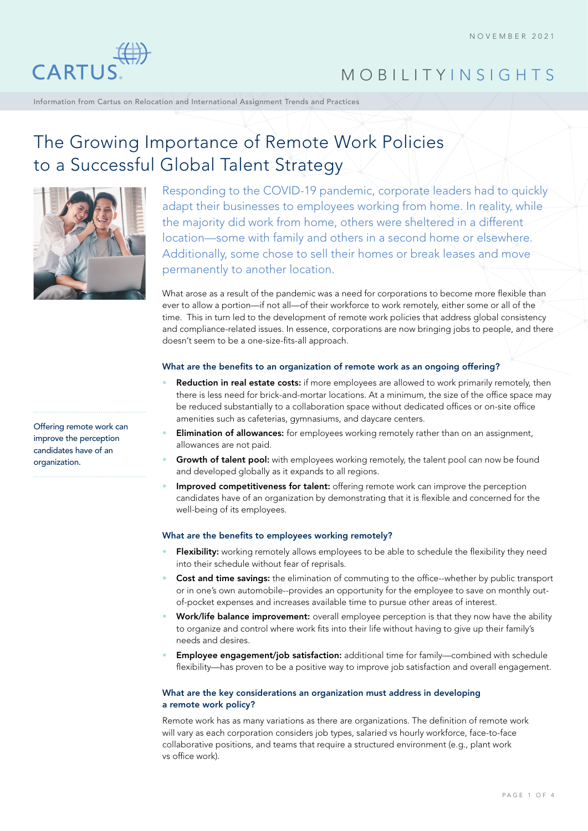

Information from Cartus on Relocation and International Assignment Trends and Practices

# The Growing Importance of Remote Work Policies to a Successful Global Talent Strategy



Responding to the COVID-19 pandemic, corporate leaders had to quickly adapt their businesses to employees working from home. In reality, while the majority did work from home, others were sheltered in a different location—some with family and others in a second home or elsewhere. Additionally, some chose to sell their homes or break leases and move permanently to another location.

What arose as a result of the pandemic was a need for corporations to become more flexible than ever to allow a portion—if not all—of their workforce to work remotely, either some or all of the time. This in turn led to the development of remote work policies that address global consistency and compliance-related issues. In essence, corporations are now bringing jobs to people, and there doesn't seem to be a one-size-fits-all approach.

## What are the benefits to an organization of remote work as an ongoing offering?

- Reduction in real estate costs: if more employees are allowed to work primarily remotely, then there is less need for brick-and-mortar locations. At a minimum, the size of the office space may be reduced substantially to a collaboration space without dedicated offices or on-site office amenities such as cafeterias, gymnasiums, and daycare centers.
- **Elimination of allowances:** for employees working remotely rather than on an assignment, allowances are not paid.
- Growth of talent pool: with employees working remotely, the talent pool can now be found and developed globally as it expands to all regions.
- Improved competitiveness for talent: offering remote work can improve the perception candidates have of an organization by demonstrating that it is flexible and concerned for the well-being of its employees.

# What are the benefits to employees working remotely?

- Flexibility: working remotely allows employees to be able to schedule the flexibility they need into their schedule without fear of reprisals.
- **Cost and time savings:** the elimination of commuting to the office--whether by public transport or in one's own automobile--provides an opportunity for the employee to save on monthly outof-pocket expenses and increases available time to pursue other areas of interest.
- Work/life balance improvement: overall employee perception is that they now have the ability to organize and control where work fits into their life without having to give up their family's needs and desires.
- Employee engagement/job satisfaction: additional time for family-combined with schedule flexibility—has proven to be a positive way to improve job satisfaction and overall engagement.

# What are the key considerations an organization must address in developing a remote work policy?

Remote work has as many variations as there are organizations. The definition of remote work will vary as each corporation considers job types, salaried vs hourly workforce, face-to-face collaborative positions, and teams that require a structured environment (e.g., plant work vs office work).

Offering remote work can improve the perception candidates have of an organization.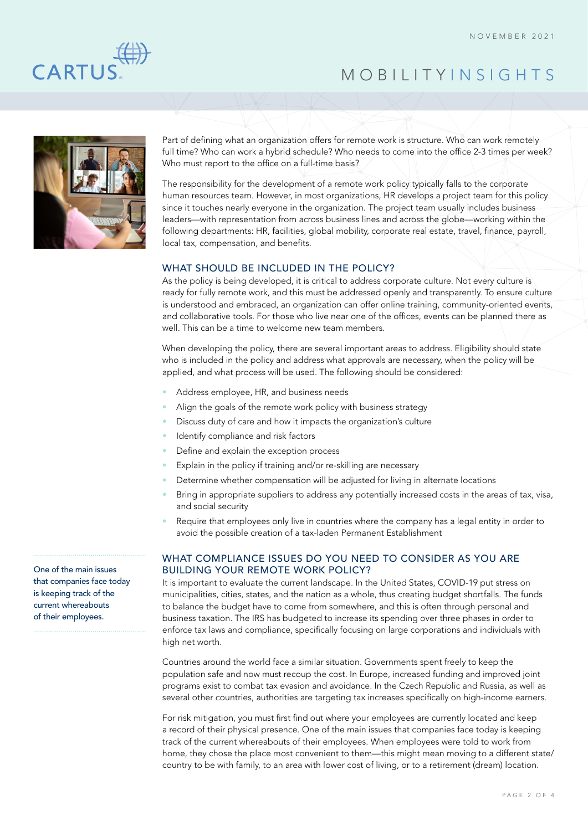

Part of defining what an organization offers for remote work is structure. Who can work remotely full time? Who can work a hybrid schedule? Who needs to come into the office 2-3 times per week? Who must report to the office on a full-time basis?

The responsibility for the development of a remote work policy typically falls to the corporate human resources team. However, in most organizations, HR develops a project team for this policy since it touches nearly everyone in the organization. The project team usually includes business leaders—with representation from across business lines and across the globe—working within the following departments: HR, facilities, global mobility, corporate real estate, travel, finance, payroll, local tax, compensation, and benefits.

## WHAT SHOULD BE INCLUDED IN THE POLICY?

As the policy is being developed, it is critical to address corporate culture. Not every culture is ready for fully remote work, and this must be addressed openly and transparently. To ensure culture is understood and embraced, an organization can offer online training, community-oriented events, and collaborative tools. For those who live near one of the offices, events can be planned there as well. This can be a time to welcome new team members.

When developing the policy, there are several important areas to address. Eligibility should state who is included in the policy and address what approvals are necessary, when the policy will be applied, and what process will be used. The following should be considered:

- Address employee, HR, and business needs
- Align the goals of the remote work policy with business strategy
- Discuss duty of care and how it impacts the organization's culture
- Identify compliance and risk factors
- Define and explain the exception process
- Explain in the policy if training and/or re-skilling are necessary
- Determine whether compensation will be adjusted for living in alternate locations
- Bring in appropriate suppliers to address any potentially increased costs in the areas of tax, visa, and social security
- Require that employees only live in countries where the company has a legal entity in order to avoid the possible creation of a tax-laden Permanent Establishment

# WHAT COMPLIANCE ISSUES DO YOU NEED TO CONSIDER AS YOU ARE BUILDING YOUR REMOTE WORK POLICY?

It is important to evaluate the current landscape. In the United States, COVID-19 put stress on municipalities, cities, states, and the nation as a whole, thus creating budget shortfalls. The funds to balance the budget have to come from somewhere, and this is often through personal and business taxation. The IRS has budgeted to increase its spending over three phases in order to enforce tax laws and compliance, specifically focusing on large corporations and individuals with high net worth.

Countries around the world face a similar situation. Governments spent freely to keep the population safe and now must recoup the cost. In Europe, increased funding and improved joint programs exist to combat tax evasion and avoidance. In the Czech Republic and Russia, as well as several other countries, authorities are targeting tax increases specifically on high-income earners.

For risk mitigation, you must first find out where your employees are currently located and keep a record of their physical presence. One of the main issues that companies face today is keeping track of the current whereabouts of their employees. When employees were told to work from home, they chose the place most convenient to them—this might mean moving to a different state/ country to be with family, to an area with lower cost of living, or to a retirement (dream) location.

One of the main issues that companies face today is keeping track of the current whereabouts of their employees.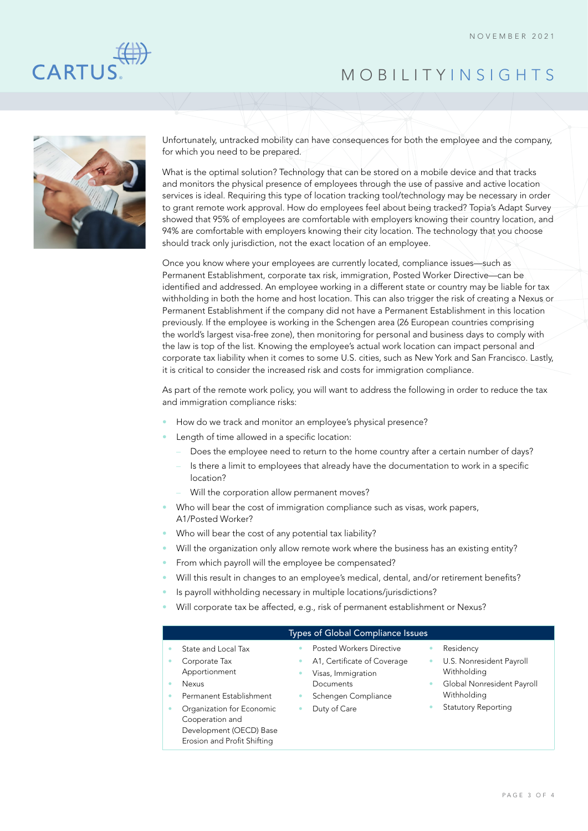



Unfortunately, untracked mobility can have consequences for both the employee and the company, for which you need to be prepared.

What is the optimal solution? Technology that can be stored on a mobile device and that tracks and monitors the physical presence of employees through the use of passive and active location services is ideal. Requiring this type of location tracking tool/technology may be necessary in order to grant remote work approval. How do employees feel about being tracked? Topia's Adapt Survey showed that 95% of employees are comfortable with employers knowing their country location, and 94% are comfortable with employers knowing their city location. The technology that you choose should track only jurisdiction, not the exact location of an employee.

Once you know where your employees are currently located, compliance issues—such as Permanent Establishment, corporate tax risk, immigration, Posted Worker Directive—can be identified and addressed. An employee working in a different state or country may be liable for tax withholding in both the home and host location. This can also trigger the risk of creating a Nexus or Permanent Establishment if the company did not have a Permanent Establishment in this location previously. If the employee is working in the Schengen area (26 European countries comprising the world's largest visa-free zone), then monitoring for personal and business days to comply with the law is top of the list. Knowing the employee's actual work location can impact personal and corporate tax liability when it comes to some U.S. cities, such as New York and San Francisco. Lastly, it is critical to consider the increased risk and costs for immigration compliance.

As part of the remote work policy, you will want to address the following in order to reduce the tax and immigration compliance risks:

- How do we track and monitor an employee's physical presence?
- Length of time allowed in a specific location:
	- Does the employee need to return to the home country after a certain number of days?
	- Is there a limit to employees that already have the documentation to work in a specific location?
	- Will the corporation allow permanent moves?
- Who will bear the cost of immigration compliance such as visas, work papers, A1/Posted Worker?
- Who will bear the cost of any potential tax liability?
- Will the organization only allow remote work where the business has an existing entity?
- From which payroll will the employee be compensated?
- Will this result in changes to an employee's medical, dental, and/or retirement benefits?
- Is payroll withholding necessary in multiple locations/jurisdictions?
- Will corporate tax be affected, e.g., risk of permanent establishment or Nexus?

### Types of Global Compliance Issues

- State and Local Tax
- Corporate Tax
- Apportionment
- Nexus
- Permanent Establishment
- Organization for Economic Cooperation and
	- Development (OECD) Base Erosion and Profit Shifting
- Posted Workers Directive
- A1, Certificate of Coverage
- Visas, Immigration Documents
- Schengen Compliance
- Duty of Care
	-
- **Residency**
- U.S. Nonresident Payroll Withholding
- Global Nonresident Payroll Withholding
- Statutory Reporting